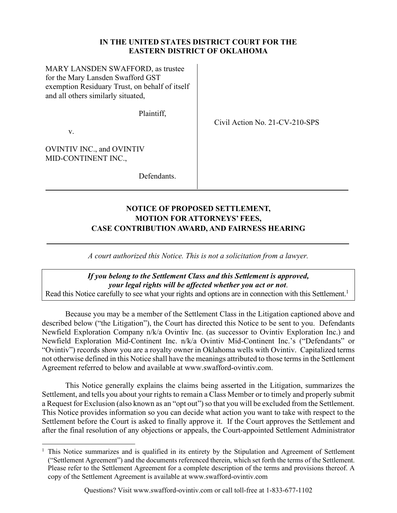#### **IN THE UNITED STATES DISTRICT COURT FOR THE EASTERN DISTRICT OF OKLAHOMA**

MARY LANSDEN SWAFFORD, as trustee for the Mary Lansden Swafford GST exemption Residuary Trust, on behalf of itself and all others similarly situated,

Plaintiff,

Civil Action No. 21-CV-210-SPS

v.

OVINTIV INC., and OVINTIV MID-CONTINENT INC.,

Defendants.

# **NOTICE OF PROPOSED SETTLEMENT, MOTION FOR ATTORNEYS' FEES, CASE CONTRIBUTION AWARD, AND FAIRNESS HEARING**

*A court authorized this Notice. This is not a solicitation from a lawyer.* 

*If you belong to the Settlement Class and this Settlement is approved, your legal rights will be affected whether you act or not*. Read this Notice carefully to see what your rights and options are in connection with this Settlement.<sup>1</sup>

Because you may be a member of the Settlement Class in the Litigation captioned above and described below ("the Litigation"), the Court has directed this Notice to be sent to you. Defendants Newfield Exploration Company n/k/a Ovintiv Inc. (as successor to Ovintiv Exploration Inc.) and Newfield Exploration Mid-Continent Inc. n/k/a Ovintiv Mid-Continent Inc.'s ("Defendants" or "Ovintiv") records show you are a royalty owner in Oklahoma wells with Ovintiv. Capitalized terms not otherwise defined in this Notice shall have the meanings attributed to those terms in the Settlement Agreement referred to below and available at www.swafford-ovintiv.com.

This Notice generally explains the claims being asserted in the Litigation, summarizes the Settlement, and tells you about your rights to remain a Class Member or to timely and properly submit a Request for Exclusion (also known as an "opt out") so that you will be excluded from the Settlement. This Notice provides information so you can decide what action you want to take with respect to the Settlement before the Court is asked to finally approve it. If the Court approves the Settlement and after the final resolution of any objections or appeals, the Court-appointed Settlement Administrator

<sup>1</sup> This Notice summarizes and is qualified in its entirety by the Stipulation and Agreement of Settlement ("Settlement Agreement") and the documents referenced therein, which set forth the terms of the Settlement. Please refer to the Settlement Agreement for a complete description of the terms and provisions thereof. A copy of the Settlement Agreement is available at www.swafford-ovintiv.com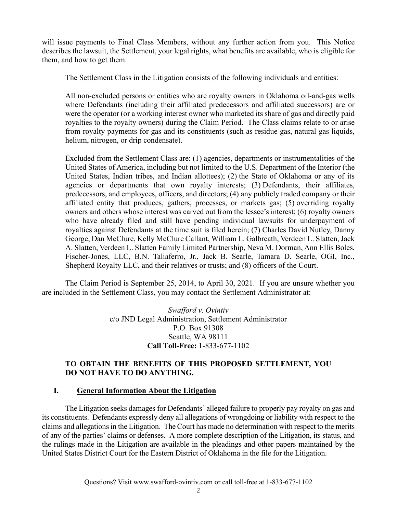will issue payments to Final Class Members, without any further action from you. This Notice describes the lawsuit, the Settlement, your legal rights, what benefits are available, who is eligible for them, and how to get them.

The Settlement Class in the Litigation consists of the following individuals and entities:

All non-excluded persons or entities who are royalty owners in Oklahoma oil-and-gas wells where Defendants (including their affiliated predecessors and affiliated successors) are or were the operator (or a working interest owner who marketed its share of gas and directly paid royalties to the royalty owners) during the Claim Period. The Class claims relate to or arise from royalty payments for gas and its constituents (such as residue gas, natural gas liquids, helium, nitrogen, or drip condensate).

Excluded from the Settlement Class are: (1) agencies, departments or instrumentalities of the United States of America, including but not limited to the U.S. Department of the Interior (the United States, Indian tribes, and Indian allottees); (2) the State of Oklahoma or any of its agencies or departments that own royalty interests; (3) Defendants, their affiliates, predecessors, and employees, officers, and directors; (4) any publicly traded company or their affiliated entity that produces, gathers, processes, or markets gas; (5) overriding royalty owners and others whose interest was carved out from the lessee's interest; (6) royalty owners who have already filed and still have pending individual lawsuits for underpayment of royalties against Defendants at the time suit is filed herein; (7) Charles David Nutley, Danny George, Dan McClure, Kelly McClure Callant, William L. Galbreath, Verdeen L. Slatten, Jack A. Slatten, Verdeen L. Slatten Family Limited Partnership, Neva M. Dorman, Ann Ellis Boles, Fischer-Jones, LLC, B.N. Taliaferro, Jr., Jack B. Searle, Tamara D. Searle, OGI, Inc., Shepherd Royalty LLC, and their relatives or trusts; and (8) officers of the Court.

The Claim Period is September 25, 2014, to April 30, 2021. If you are unsure whether you are included in the Settlement Class, you may contact the Settlement Administrator at:

> *Swafford v. Ovintiv*  c/o JND Legal Administration, Settlement Administrator P.O. Box 91308 Seattle, WA 98111 **Call Toll-Free:** 1-833-677-1102

### **TO OBTAIN THE BENEFITS OF THIS PROPOSED SETTLEMENT, YOU DO NOT HAVE TO DO ANYTHING.**

### **I. General Information About the Litigation**

The Litigation seeks damages for Defendants' alleged failure to properly pay royalty on gas and its constituents. Defendants expressly deny all allegations of wrongdoing or liability with respect to the claims and allegations in the Litigation. The Court has made no determination with respect to the merits of any of the parties' claims or defenses. A more complete description of the Litigation, its status, and the rulings made in the Litigation are available in the pleadings and other papers maintained by the United States District Court for the Eastern District of Oklahoma in the file for the Litigation.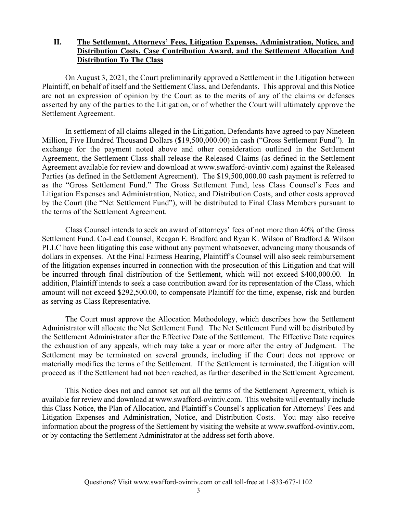#### **II. The Settlement, Attorneys' Fees, Litigation Expenses, Administration, Notice, and Distribution Costs, Case Contribution Award, and the Settlement Allocation And Distribution To The Class**

On August 3, 2021, the Court preliminarily approved a Settlement in the Litigation between Plaintiff, on behalf of itself and the Settlement Class, and Defendants. This approval and this Notice are not an expression of opinion by the Court as to the merits of any of the claims or defenses asserted by any of the parties to the Litigation, or of whether the Court will ultimately approve the Settlement Agreement.

In settlement of all claims alleged in the Litigation, Defendants have agreed to pay Nineteen Million, Five Hundred Thousand Dollars (\$19,500,000.00) in cash ("Gross Settlement Fund"). In exchange for the payment noted above and other consideration outlined in the Settlement Agreement, the Settlement Class shall release the Released Claims (as defined in the Settlement Agreement available for review and download at www.swafford-ovintiv.com) against the Released Parties (as defined in the Settlement Agreement). The \$19,500,000.00 cash payment is referred to as the "Gross Settlement Fund." The Gross Settlement Fund, less Class Counsel's Fees and Litigation Expenses and Administration, Notice, and Distribution Costs, and other costs approved by the Court (the "Net Settlement Fund"), will be distributed to Final Class Members pursuant to the terms of the Settlement Agreement.

Class Counsel intends to seek an award of attorneys' fees of not more than 40% of the Gross Settlement Fund. Co-Lead Counsel, Reagan E. Bradford and Ryan K. Wilson of Bradford & Wilson PLLC have been litigating this case without any payment whatsoever, advancing many thousands of dollars in expenses. At the Final Fairness Hearing, Plaintiff's Counsel will also seek reimbursement of the litigation expenses incurred in connection with the prosecution of this Litigation and that will be incurred through final distribution of the Settlement, which will not exceed \$400,000.00. In addition, Plaintiff intends to seek a case contribution award for its representation of the Class, which amount will not exceed \$292,500.00, to compensate Plaintiff for the time, expense, risk and burden as serving as Class Representative.

The Court must approve the Allocation Methodology, which describes how the Settlement Administrator will allocate the Net Settlement Fund. The Net Settlement Fund will be distributed by the Settlement Administrator after the Effective Date of the Settlement. The Effective Date requires the exhaustion of any appeals, which may take a year or more after the entry of Judgment. The Settlement may be terminated on several grounds, including if the Court does not approve or materially modifies the terms of the Settlement. If the Settlement is terminated, the Litigation will proceed as if the Settlement had not been reached, as further described in the Settlement Agreement.

This Notice does not and cannot set out all the terms of the Settlement Agreement, which is available for review and download at www.swafford-ovintiv.com. This website will eventually include this Class Notice, the Plan of Allocation, and Plaintiff's Counsel's application for Attorneys' Fees and Litigation Expenses and Administration, Notice, and Distribution Costs. You may also receive information about the progress of the Settlement by visiting the website at www.swafford-ovintiv.com, or by contacting the Settlement Administrator at the address set forth above.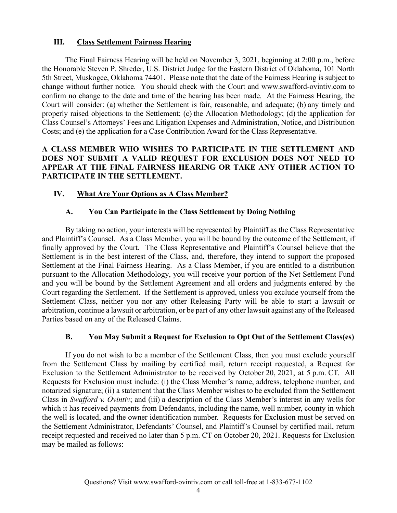#### **III. Class Settlement Fairness Hearing**

The Final Fairness Hearing will be held on November 3, 2021, beginning at 2:00 p.m., before the Honorable Steven P. Shreder, U.S. District Judge for the Eastern District of Oklahoma, 101 North 5th Street, Muskogee, Oklahoma 74401. Please note that the date of the Fairness Hearing is subject to change without further notice. You should check with the Court and www.swafford-ovintiv.com to confirm no change to the date and time of the hearing has been made. At the Fairness Hearing, the Court will consider: (a) whether the Settlement is fair, reasonable, and adequate; (b) any timely and properly raised objections to the Settlement; (c) the Allocation Methodology; (d) the application for Class Counsel's Attorneys' Fees and Litigation Expenses and Administration, Notice, and Distribution Costs; and (e) the application for a Case Contribution Award for the Class Representative.

### **A CLASS MEMBER WHO WISHES TO PARTICIPATE IN THE SETTLEMENT AND DOES NOT SUBMIT A VALID REQUEST FOR EXCLUSION DOES NOT NEED TO APPEAR AT THE FINAL FAIRNESS HEARING OR TAKE ANY OTHER ACTION TO PARTICIPATE IN THE SETTLEMENT.**

### **IV. What Are Your Options as A Class Member?**

### **A. You Can Participate in the Class Settlement by Doing Nothing**

By taking no action, your interests will be represented by Plaintiff as the Class Representative and Plaintiff's Counsel. As a Class Member, you will be bound by the outcome of the Settlement, if finally approved by the Court. The Class Representative and Plaintiff's Counsel believe that the Settlement is in the best interest of the Class, and, therefore, they intend to support the proposed Settlement at the Final Fairness Hearing. As a Class Member, if you are entitled to a distribution pursuant to the Allocation Methodology, you will receive your portion of the Net Settlement Fund and you will be bound by the Settlement Agreement and all orders and judgments entered by the Court regarding the Settlement. If the Settlement is approved, unless you exclude yourself from the Settlement Class, neither you nor any other Releasing Party will be able to start a lawsuit or arbitration, continue a lawsuit or arbitration, or be part of any other lawsuit against any of the Released Parties based on any of the Released Claims.

### **B. You May Submit a Request for Exclusion to Opt Out of the Settlement Class(es)**

If you do not wish to be a member of the Settlement Class, then you must exclude yourself from the Settlement Class by mailing by certified mail, return receipt requested, a Request for Exclusion to the Settlement Administrator to be received by October 20, 2021, at 5 p.m. CT. All Requests for Exclusion must include: (i) the Class Member's name, address, telephone number, and notarized signature; (ii) a statement that the Class Member wishes to be excluded from the Settlement Class in *Swafford v. Ovintiv*; and (iii) a description of the Class Member's interest in any wells for which it has received payments from Defendants, including the name, well number, county in which the well is located, and the owner identification number. Requests for Exclusion must be served on the Settlement Administrator, Defendants' Counsel, and Plaintiff's Counsel by certified mail, return receipt requested and received no later than 5 p.m. CT on October 20, 2021. Requests for Exclusion may be mailed as follows: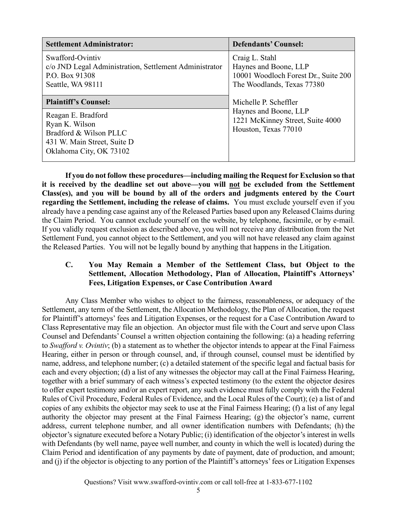| <b>Settlement Administrator:</b>                                                                                         | <b>Defendants' Counsel:</b>                                                                                   |
|--------------------------------------------------------------------------------------------------------------------------|---------------------------------------------------------------------------------------------------------------|
| Swafford-Ovintiv<br>c/o JND Legal Administration, Settlement Administrator<br>P.O. Box 91308<br>Seattle, WA 98111        | Craig L. Stahl<br>Haynes and Boone, LLP<br>10001 Woodloch Forest Dr., Suite 200<br>The Woodlands, Texas 77380 |
| <b>Plaintiff's Counsel:</b>                                                                                              | Michelle P. Scheffler                                                                                         |
| Reagan E. Bradford<br>Ryan K. Wilson<br>Bradford & Wilson PLLC<br>431 W. Main Street, Suite D<br>Oklahoma City, OK 73102 | Haynes and Boone, LLP<br>1221 McKinney Street, Suite 4000<br>Houston, Texas 77010                             |

**If you do not follow these procedures—including mailing the Request for Exclusion so that**  it is received by the deadline set out above—you will not be excluded from the Settlement **Class(es), and you will be bound by all of the orders and judgments entered by the Court regarding the Settlement, including the release of claims.** You must exclude yourself even if you already have a pending case against any of the Released Parties based upon any Released Claims during the Claim Period. You cannot exclude yourself on the website, by telephone, facsimile, or by e-mail. If you validly request exclusion as described above, you will not receive any distribution from the Net Settlement Fund, you cannot object to the Settlement, and you will not have released any claim against the Released Parties. You will not be legally bound by anything that happens in the Litigation.

#### **C. You May Remain a Member of the Settlement Class, but Object to the Settlement, Allocation Methodology, Plan of Allocation, Plaintiff's Attorneys' Fees, Litigation Expenses, or Case Contribution Award**

Any Class Member who wishes to object to the fairness, reasonableness, or adequacy of the Settlement, any term of the Settlement, the Allocation Methodology, the Plan of Allocation, the request for Plaintiff's attorneys' fees and Litigation Expenses, or the request for a Case Contribution Award to Class Representative may file an objection. An objector must file with the Court and serve upon Class Counsel and Defendants' Counsel a written objection containing the following: (a) a heading referring to *Swafford v. Ovintiv*; (b) a statement as to whether the objector intends to appear at the Final Fairness Hearing, either in person or through counsel, and, if through counsel, counsel must be identified by name, address, and telephone number; (c) a detailed statement of the specific legal and factual basis for each and every objection; (d) a list of any witnesses the objector may call at the Final Fairness Hearing, together with a brief summary of each witness's expected testimony (to the extent the objector desires to offer expert testimony and/or an expert report, any such evidence must fully comply with the Federal Rules of Civil Procedure, Federal Rules of Evidence, and the Local Rules of the Court); (e) a list of and copies of any exhibits the objector may seek to use at the Final Fairness Hearing; (f) a list of any legal authority the objector may present at the Final Fairness Hearing; (g) the objector's name, current address, current telephone number, and all owner identification numbers with Defendants; (h) the objector's signature executed before a Notary Public; (i) identification of the objector's interest in wells with Defendants (by well name, payee well number, and county in which the well is located) during the Claim Period and identification of any payments by date of payment, date of production, and amount; and (j) if the objector is objecting to any portion of the Plaintiff's attorneys' fees or Litigation Expenses